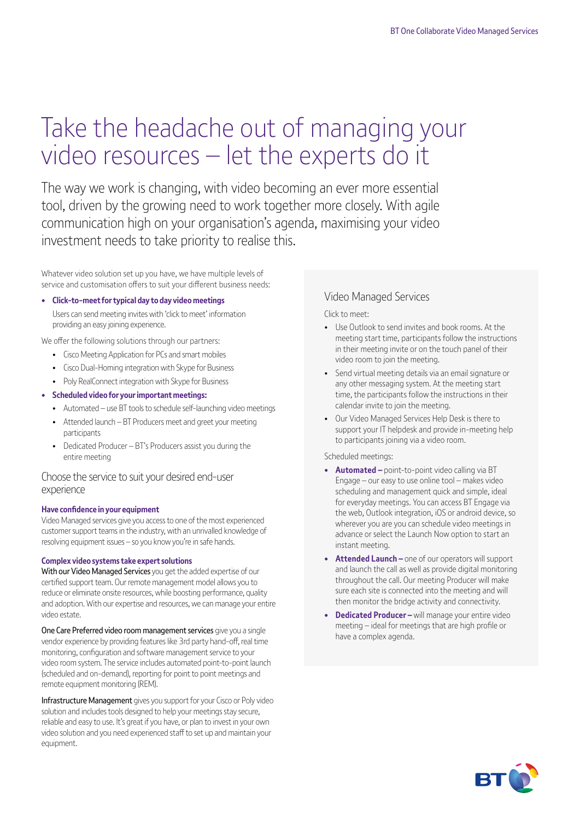# Take the headache out of managing your video resources – let the experts do it

The way we work is changing, with video becoming an ever more essential tool, driven by the growing need to work together more closely. With agile communication high on your organisation's agenda, maximising your video investment needs to take priority to realise this.

Whatever video solution set up you have, we have multiple levels of service and customisation offers to suit your different business needs:

## **• Click-to-meet for typical day to day video meetings**

Users can send meeting invites with 'click to meet' information providing an easy joining experience.

We offer the following solutions through our partners:

- Cisco Meeting Application for PCs and smart mobiles
- Cisco Dual-Homing integration with Skype for Business
- Poly RealConnect integration with Skype for Business

## **• Scheduled video for your important meetings:**

- Automated use BT tools to schedule self-launching video meetings
- Attended launch BT Producers meet and greet your meeting participants
- Dedicated Producer BT's Producers assist you during the entire meeting

## Choose the service to suit your desired end-user experience

## **Have confidence in your equipment**

Video Managed services give you access to one of the most experienced customer support teams in the industry, with an unrivalled knowledge of resolving equipment issues – so you know you're in safe hands.

## **Complex video systems take expert solutions**

With our Video Managed Services you get the added expertise of our certified support team. Our remote management model allows you to reduce or eliminate onsite resources, while boosting performance, quality and adoption. With our expertise and resources, we can manage your entire video estate.

One Care Preferred video room management services give you a single vendor experience by providing features like 3rd party hand-off, real time monitoring, configuration and software management service to your video room system. The service includes automated point-to-point launch (scheduled and on-demand), reporting for point to point meetings and remote equipment monitoring (REM).

Infrastructure Management gives you support for your Cisco or Poly video solution and includes tools designed to help your meetings stay secure, reliable and easy to use. It's great if you have, or plan to invest in your own video solution and you need experienced staff to set up and maintain your equipment.

## Video Managed Services

Click to meet:

- Use Outlook to send invites and book rooms. At the meeting start time, participants follow the instructions in their meeting invite or on the touch panel of their video room to join the meeting.
- Send virtual meeting details via an email signature or any other messaging system. At the meeting start time, the participants follow the instructions in their calendar invite to join the meeting.
- Our Video Managed Services Help Desk is there to support your IT helpdesk and provide in-meeting help to participants joining via a video room.

## Scheduled meetings:

- **• Automated** point-to-point video calling via BT Engage – our easy to use online tool – makes video scheduling and management quick and simple, ideal for everyday meetings. You can access BT Engage via the web, Outlook integration, iOS or android device, so wherever you are you can schedule video meetings in advance or select the Launch Now option to start an instant meeting.
- **• Attended Launch** one of our operators will support and launch the call as well as provide digital monitoring throughout the call. Our meeting Producer will make sure each site is connected into the meeting and will then monitor the bridge activity and connectivity.
- **• Dedicated Producer** will manage your entire video meeting – ideal for meetings that are high profile or have a complex agenda.